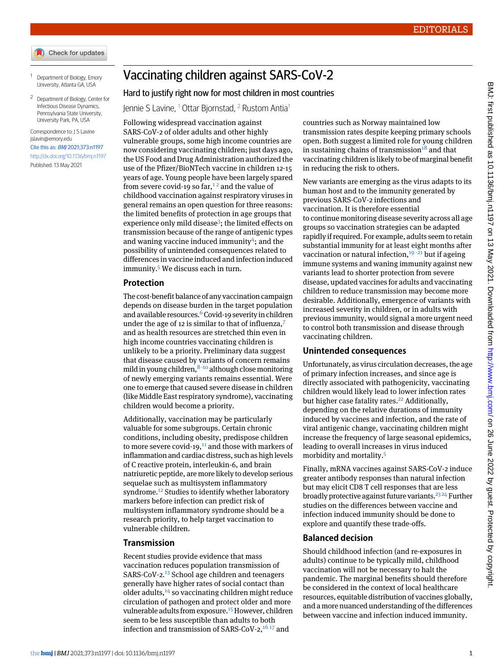- Check for updates
- <span id="page-0-1"></span><span id="page-0-0"></span><sup>1</sup> Department of Biology, Emory University, Atlanta GA, USA
- <sup>2</sup> Department of Biology, Center for Infectious Disease Dynamics, Pennsylvania State University, University Park, PA, USA

#### Correspondence to: J S Lavine [jslavin@emory.edu](mailto:jslavin@emory.edu)

Cite this as: BMJ 2021;373:n1197 <http://dx.doi.org/10.1136/bmj.n1197> Published: 13 May 2021

Vaccinating children against SARS-CoV-2

## Hard to justify right now for most children in most countries

Jennie S Lavine, [1](#page-0-0) Ottar Bjornstad, [2](#page-0-1) Rustom Antia[1](#page-0-0)

Following widespread vaccination against SARS-CoV-2 of older adults and other highly vulnerable groups, some high income countries are now considering vaccinating children; just days ago, the US Food and Drug Administration authorized the use of the Pfizer/BioNTech vaccine in children 12-15 years of age. Young people have been largely spared from severe covid-[1](#page-1-0)9 so  $far$ ,<sup>12</sup> and the value of childhood vaccination against respiratory viruses in general remains an open question for three reasons: the limited benefits of protection in age groups that experience only mild disease<sup>[3](#page-1-2)</sup>; the limited effects on transmission because of the range of antigenic types and waning vaccine induced immunity<sup>[4](#page-1-3)</sup>; and the possibility of unintended consequences related to differences in vaccine induced and infection induced immunity.[5](#page-1-4) We discuss each in turn.

### **Protection**

The cost-benefit balance of any vaccination campaign depends on disease burden in the target population and available resources. $6$  Covid-19 severity in children under the age of 12 is similar to that of influenza.<sup>[7](#page-1-6)</sup> and as health resources are stretched thin even in high income countries vaccinating children is unlikely to be a priority. Preliminary data suggest that disease caused by variants of concern remains mild in young children,  $8-10$  $8-10$  $8-10$  although close monitoring of newly emerging variants remains essential. Were one to emerge that caused severe disease in children (like Middle East respiratory syndrome), vaccinating children would become a priority.

Additionally, vaccination may be particularly valuable for some subgroups. Certain chronic conditions, including obesity, predispose children to more severe covid-19, $11$  and those with markers of inflammation and cardiac distress, such as high levels of C reactive protein, interleukin-6, and brain natriuretic peptide, are more likely to develop serious sequelae such as multisystem inflammatory syndrome.<sup>[12](#page-1-11)</sup> Studies to identify whether laboratory markers before infection can predict risk of multisystem inflammatory syndrome should be a research priority, to help target vaccination to vulnerable children.

### **Transmission**

Recent studies provide evidence that mass vaccination reduces population transmission of SARS-CoV-2.<sup>[13](#page-1-12)</sup> School age children and teenagers generally have higher rates of social contact than older adults,[14](#page-1-13) so vaccinating children might reduce circulation of pathogen and protect older and more vulnerable adults from exposure.<sup>[15](#page-1-14)</sup> However, children seem to be less susceptible than adults to both infection and transmission of SARS-CoV-2,<sup>[16](#page-1-15)17</sup> and

countries such as Norway maintained low transmission rates despite keeping primary schools open. Both suggest a limited role for young children in sustaining chains of transmission $18$  and that vaccinating children is likely to be of marginal benefit in reducing the risk to others.

New variants are emerging as the virus adapts to its human host and to the immunity generated by previous SARS-CoV-2 infections and vaccination. It is therefore essential to continue monitoring disease severity across all age groups so vaccination strategies can be adapted rapidly if required. For example, adults seem to retain substantial immunity for at least eight months after vaccination or natural infection,  $19 - 21$  $19 - 21$  $19 - 21$  $19 - 21$  but if ageing immune systems and waning immunity against new variants lead to shorter protection from severe disease, updated vaccines for adults and vaccinating children to reduce transmission may become more desirable. Additionally, emergence of variants with increased severity in children, or in adults with previous immunity, would signal a more urgent need to control both transmission and disease through vaccinating children.

### **Unintended consequences**

Unfortunately, as virus circulation decreases, the age of primary infection increases, and since age is directly associated with pathogenicity, vaccinating children would likely lead to lower infection rates but higher case fatality rates.<sup>[22](#page-1-21)</sup> Additionally, depending on the relative durations of immunity induced by vaccines and infection, and the rate of viral antigenic change, vaccinating children might increase the frequency of large seasonal epidemics, leading to overall increases in virus induced morbidity and mortality.[5](#page-1-4)

Finally, mRNA vaccines against SARS-CoV-2 induce greater antibody responses than natural infection but may elicit CD8 T cell responses that are less broadly protective against future variants.<sup>[23](#page-1-22) [24](#page-1-23)</sup> Further studies on the differences between vaccine and infection induced immunity should be done to explore and quantify these trade-offs.

# **Balanced decision**

Should childhood infection (and re-exposures in adults) continue to be typically mild, childhood vaccination will not be necessary to halt the pandemic. The marginal benefits should therefore be considered in the context of local healthcare resources, equitable distribution of vaccines globally, and a more nuanced understanding of the differences between vaccine and infection induced immunity.